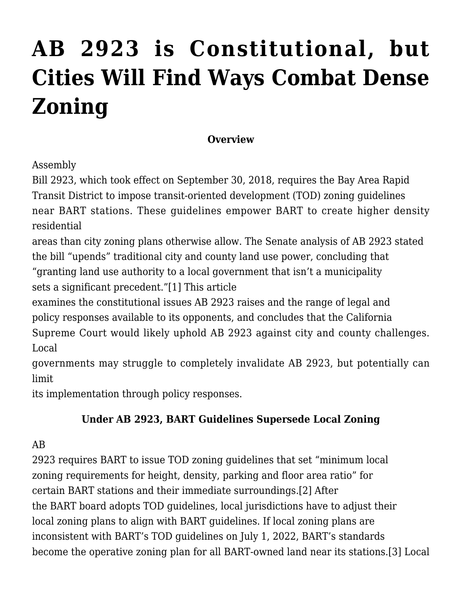# **[AB 2923 is Constitutional, but](http://scocablog.com/ab-2923-is-constitutional-but-cities-will-find-ways-combat-dense-zoning/) [Cities Will Find Ways Combat Dense](http://scocablog.com/ab-2923-is-constitutional-but-cities-will-find-ways-combat-dense-zoning/) [Zoning](http://scocablog.com/ab-2923-is-constitutional-but-cities-will-find-ways-combat-dense-zoning/)**

#### **Overview**

## Assembly

Bill 2923, which took effect on September 30, 2018, requires the Bay Area Rapid Transit District to impose transit-oriented development (TOD) zoning guidelines near BART stations. These guidelines empower BART to create higher density residential

areas than city zoning plans otherwise allow. The Senate analysis of AB 2923 stated the bill "upends" traditional city and county land use power, concluding that "granting land use authority to a local government that isn't a municipality sets a significant precedent.["\[1\]](#page--1-0) This article

examines the constitutional issues AB 2923 raises and the range of legal and policy responses available to its opponents, and concludes that the California Supreme Court would likely uphold AB 2923 against city and county challenges. Local

governments may struggle to completely invalidate AB 2923, but potentially can limit

its implementation through policy responses.

## **Under AB 2923, BART Guidelines Supersede Local Zoning**

## AB

2923 requires BART to issue TOD zoning guidelines that set "minimum local zoning requirements for height, density, parking and floor area ratio" for certain BART stations and their immediate surroundings[.\[2\]](#page--1-0) After the BART board adopts TOD guidelines, local jurisdictions have to adjust their local zoning plans to align with BART guidelines. If local zoning plans are inconsistent with BART's TOD guidelines on July 1, 2022, BART's standards become the operative zoning plan for all BART-owned land near its stations.[\[3\]](#page--1-0) Local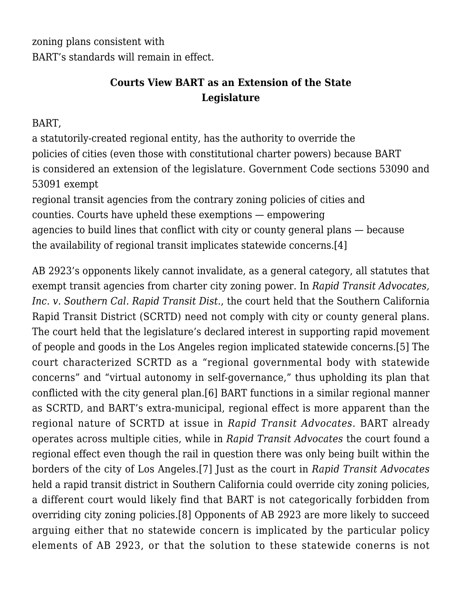zoning plans consistent with BART's standards will remain in effect.

## **Courts View BART as an Extension of the State Legislature**

#### BART,

a statutorily-created regional entity, has the authority to override the policies of cities (even those with constitutional charter powers) because BART is considered an extension of the legislature. Government Code sections 53090 and 53091 exempt

regional transit agencies from the contrary zoning policies of cities and counties. Courts have upheld these exemptions — empowering agencies to build lines that conflict with city or county general plans — because the availability of regional transit implicates statewide concerns.[\[4\]](#page--1-0)

AB 2923's opponents likely cannot invalidate, as a general category, all statutes that exempt transit agencies from charter city zoning power. In *Rapid Transit Advocates, Inc. v. Southern Cal. Rapid Transit Dist.*, the court held that the Southern California Rapid Transit District (SCRTD) need not comply with city or county general plans. The court held that the legislature's declared interest in supporting rapid movement of people and goods in the Los Angeles region implicated statewide concerns.[\[5\]](#page--1-0) The court characterized SCRTD as a "regional governmental body with statewide concerns" and "virtual autonomy in self-governance," thus upholding its plan that conflicted with the city general plan[.\[6\]](#page--1-0) BART functions in a similar regional manner as SCRTD, and BART's extra-municipal, regional effect is more apparent than the regional nature of SCRTD at issue in *Rapid Transit Advocates.* BART already operates across multiple cities, while in *Rapid Transit Advocates* the court found a regional effect even though the rail in question there was only being built within the borders of the city of Los Angeles.[\[7\]](#page--1-0) Just as the court in *Rapid Transit Advocates* held a rapid transit district in Southern California could override city zoning policies, a different court would likely find that BART is not categorically forbidden from overriding city zoning policies[.\[8\]](#page--1-0) Opponents of AB 2923 are more likely to succeed arguing either that no statewide concern is implicated by the particular policy elements of AB 2923, or that the solution to these statewide conerns is not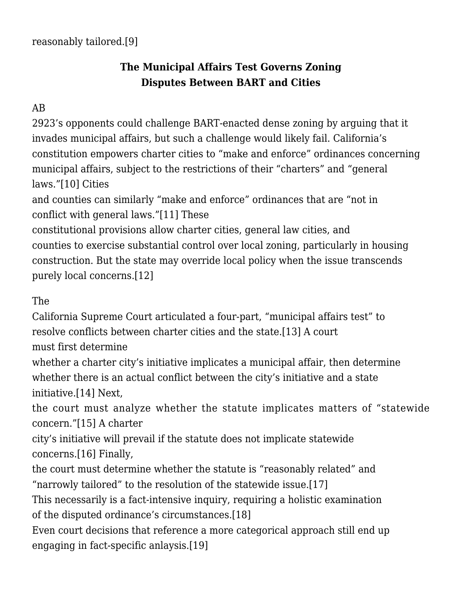## **The Municipal Affairs Test Governs Zoning Disputes Between BART and Cities**

## AB

2923's opponents could challenge BART-enacted dense zoning by arguing that it invades municipal affairs, but such a challenge would likely fail. California's constitution empowers charter cities to "make and enforce" ordinances concerning municipal affairs, subject to the restrictions of their "charters" and "general laws.["\[10\]](#page--1-0) Cities

and counties can similarly "make and enforce" ordinances that are "not in conflict with general laws."[\[11\]](#page--1-0) These

constitutional provisions allow charter cities, general law cities, and counties to exercise substantial control over local zoning, particularly in housing construction. But the state may override local policy when the issue transcends purely local concerns[.\[12\]](#page--1-0)

The

California Supreme Court articulated a four-part, "municipal affairs test" to resolve conflicts between charter cities and the state.[\[13\]](#page--1-0) A court

must first determine

whether a charter city's initiative implicates a municipal affair, then determine whether there is an actual conflict between the city's initiative and a state initiative.[\[14\]](#page--1-0) Next,

the court must analyze whether the statute implicates matters of "statewide concern.["\[15\]](#page--1-0) A charter

city's initiative will prevail if the statute does not implicate statewide concerns[.\[16\]](#page--1-0) Finally,

the court must determine whether the statute is "reasonably related" and "narrowly tailored" to the resolution of the statewide issue.[\[17\]](#page--1-0)

This necessarily is a fact-intensive inquiry, requiring a holistic examination of the disputed ordinance's circumstances.[\[18\]](#page--1-0)

Even court decisions that reference a more categorical approach still end up engaging in fact-specific anlaysis.[\[19\]](#page--1-0)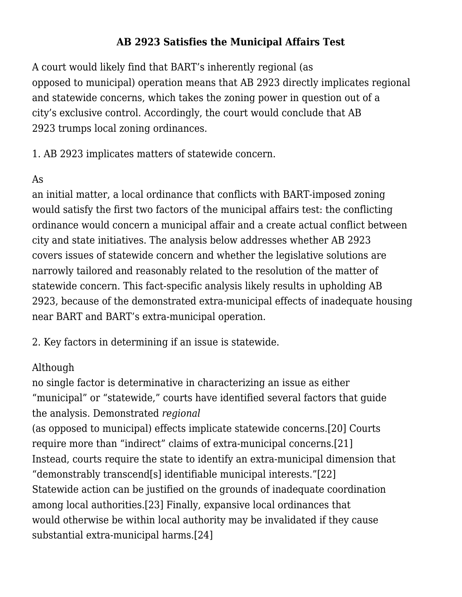### **AB 2923 Satisfies the Municipal Affairs Test**

A court would likely find that BART's inherently regional (as opposed to municipal) operation means that AB 2923 directly implicates regional and statewide concerns, which takes the zoning power in question out of a city's exclusive control. Accordingly, the court would conclude that AB 2923 trumps local zoning ordinances.

1. AB 2923 implicates matters of statewide concern.

#### As

an initial matter, a local ordinance that conflicts with BART-imposed zoning would satisfy the first two factors of the municipal affairs test: the conflicting ordinance would concern a municipal affair and a create actual conflict between city and state initiatives. The analysis below addresses whether AB 2923 covers issues of statewide concern and whether the legislative solutions are narrowly tailored and reasonably related to the resolution of the matter of statewide concern. This fact-specific analysis likely results in upholding AB 2923, because of the demonstrated extra-municipal effects of inadequate housing near BART and BART's extra-municipal operation.

2. Key factors in determining if an issue is statewide.

## Although

no single factor is determinative in characterizing an issue as either "municipal" or "statewide," courts have identified several factors that guide the analysis. Demonstrated *regional*

(as opposed to municipal) effects implicate statewide concerns[.\[20\]](#page--1-0) Courts require more than "indirect" claims of extra-municipal concerns.[\[21\]](#page--1-0) Instead, courts require the state to identify an extra-municipal dimension that "demonstrably transcend[s] identifiable municipal interests.["\[22\]](#page--1-0) Statewide action can be justified on the grounds of inadequate coordination among local authorities.[\[23\]](#page--1-0) Finally, expansive local ordinances that would otherwise be within local authority may be invalidated if they cause substantial extra-municipal harms[.\[24\]](#page--1-0)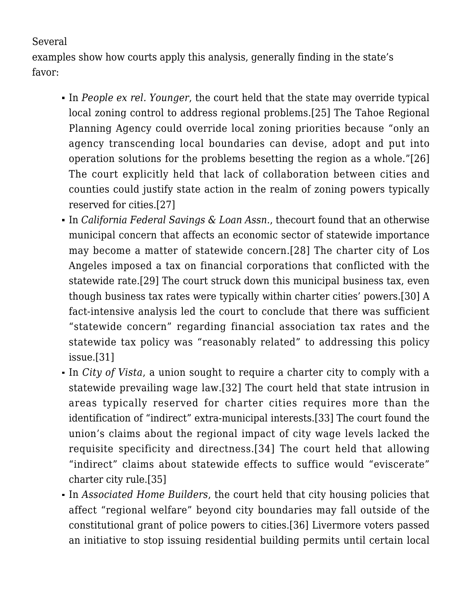#### Several

examples show how courts apply this analysis, generally finding in the state's favor:

- In *People ex rel. Younger*, the court held that the state may override typical local zoning control to address regional problems.[\[25\]](#page--1-0) The Tahoe Regional Planning Agency could override local zoning priorities because "only an agency transcending local boundaries can devise, adopt and put into operation solutions for the problems besetting the region as a whole."[\[26\]](#page--1-0) The court explicitly held that lack of collaboration between cities and counties could justify state action in the realm of zoning powers typically reserved for cities[.\[27\]](#page--1-0)
- In *California Federal Savings & Loan Assn.*, thecourt found that an otherwise municipal concern that affects an economic sector of statewide importance may become a matter of statewide concern[.\[28\]](#page--1-0) The charter city of Los Angeles imposed a tax on financial corporations that conflicted with the statewide rate[.\[29\]](#page--1-0) The court struck down this municipal business tax, even though business tax rates were typically within charter cities' powers[.\[30\]](#page--1-0) A fact-intensive analysis led the court to conclude that there was sufficient "statewide concern" regarding financial association tax rates and the statewide tax policy was "reasonably related" to addressing this policy issue[.\[31\]](#page--1-0)
- In *City of Vista*, a union sought to require a charter city to comply with a statewide prevailing wage law.[\[32\]](#page--1-0) The court held that state intrusion in areas typically reserved for charter cities requires more than the identification of "indirect" extra-municipal interests[.\[33\]](#page--1-0) The court found the union's claims about the regional impact of city wage levels lacked the requisite specificity and directness.[\[34\]](#page--1-0) The court held that allowing "indirect" claims about statewide effects to suffice would "eviscerate" charter city rule.[\[35\]](#page--1-0)
- In *Associated Home Builders*, the court held that city housing policies that affect "regional welfare" beyond city boundaries may fall outside of the constitutional grant of police powers to cities.[\[36\]](#page--1-0) Livermore voters passed an initiative to stop issuing residential building permits until certain local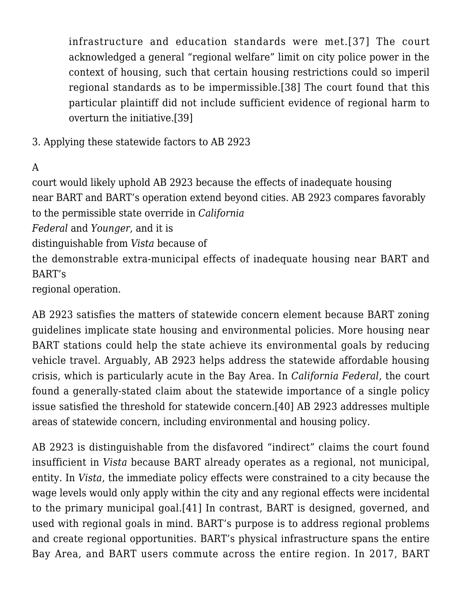infrastructure and education standards were met.[\[37\]](#page--1-0) The court acknowledged a general "regional welfare" limit on city police power in the context of housing, such that certain housing restrictions could so imperil regional standards as to be impermissible.[\[38\]](#page--1-0) The court found that this particular plaintiff did not include sufficient evidence of regional harm to overturn the initiative.[\[39\]](#page--1-0)

3. Applying these statewide factors to AB 2923

A

court would likely uphold AB 2923 because the effects of inadequate housing near BART and BART's operation extend beyond cities. AB 2923 compares favorably to the permissible state override in *California*

*Federal* and *Younger*, and it is

distinguishable from *Vista* because of

the demonstrable extra-municipal effects of inadequate housing near BART and BART's

regional operation.

AB 2923 satisfies the matters of statewide concern element because BART zoning guidelines implicate state housing and environmental policies. More housing near BART stations could help the state achieve its environmental goals by reducing vehicle travel. Arguably, AB 2923 helps address the statewide affordable housing crisis, which is particularly acute in the Bay Area. In *California Federal*, the court found a generally-stated claim about the statewide importance of a single policy issue satisfied the threshold for statewide concern[.\[40\]](#page--1-0) AB 2923 addresses multiple areas of statewide concern, including environmental and housing policy.

AB 2923 is distinguishable from the disfavored "indirect" claims the court found insufficient in *Vista* because BART already operates as a regional, not municipal, entity. In *Vista*, the immediate policy effects were constrained to a city because the wage levels would only apply within the city and any regional effects were incidental to the primary municipal goal.[\[41\]](#page--1-0) In contrast, BART is designed, governed, and used with regional goals in mind. BART's purpose is to address regional problems and create regional opportunities. BART's physical infrastructure spans the entire Bay Area, and BART users commute across the entire region. In 2017, BART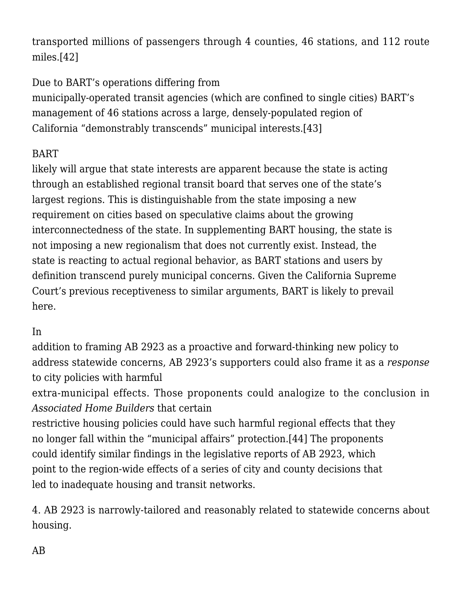transported millions of passengers through 4 counties, 46 stations, and 112 route miles[.\[42\]](#page--1-0)

## Due to BART's operations differing from

municipally-operated transit agencies (which are confined to single cities) BART's management of 46 stations across a large, densely-populated region of California "demonstrably transcends" municipal interests.[\[43\]](#page--1-0)

## BART

likely will argue that state interests are apparent because the state is acting through an established regional transit board that serves one of the state's largest regions. This is distinguishable from the state imposing a new requirement on cities based on speculative claims about the growing interconnectedness of the state. In supplementing BART housing, the state is not imposing a new regionalism that does not currently exist. Instead, the state is reacting to actual regional behavior, as BART stations and users by definition transcend purely municipal concerns. Given the California Supreme Court's previous receptiveness to similar arguments, BART is likely to prevail here.

## In

addition to framing AB 2923 as a proactive and forward-thinking new policy to address statewide concerns, AB 2923's supporters could also frame it as a *response* to city policies with harmful

extra-municipal effects. Those proponents could analogize to the conclusion in *Associated Home Builders* that certain

restrictive housing policies could have such harmful regional effects that they no longer fall within the "municipal affairs" protection.[\[44\]](#page--1-0) The proponents could identify similar findings in the legislative reports of AB 2923, which point to the region-wide effects of a series of city and county decisions that led to inadequate housing and transit networks.

4. AB 2923 is narrowly-tailored and reasonably related to statewide concerns about housing.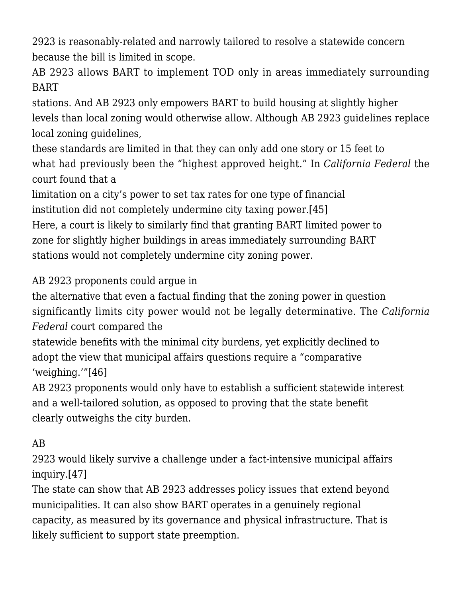2923 is reasonably-related and narrowly tailored to resolve a statewide concern because the bill is limited in scope.

AB 2923 allows BART to implement TOD only in areas immediately surrounding BART

stations. And AB 2923 only empowers BART to build housing at slightly higher levels than local zoning would otherwise allow. Although AB 2923 guidelines replace local zoning guidelines,

these standards are limited in that they can only add one story or 15 feet to what had previously been the "highest approved height." In *California Federal* the court found that a

limitation on a city's power to set tax rates for one type of financial institution did not completely undermine city taxing power.[\[45\]](#page--1-0) Here, a court is likely to similarly find that granting BART limited power to zone for slightly higher buildings in areas immediately surrounding BART stations would not completely undermine city zoning power.

## AB 2923 proponents could argue in

the alternative that even a factual finding that the zoning power in question significantly limits city power would not be legally determinative. The *California Federal* court compared the

statewide benefits with the minimal city burdens, yet explicitly declined to adopt the view that municipal affairs questions require a "comparative 'weighing.'"[\[46\]](#page--1-0)

AB 2923 proponents would only have to establish a sufficient statewide interest and a well-tailored solution, as opposed to proving that the state benefit clearly outweighs the city burden.

## AB

2923 would likely survive a challenge under a fact-intensive municipal affairs inquiry[.\[47\]](#page--1-0)

The state can show that AB 2923 addresses policy issues that extend beyond municipalities. It can also show BART operates in a genuinely regional capacity, as measured by its governance and physical infrastructure. That is likely sufficient to support state preemption.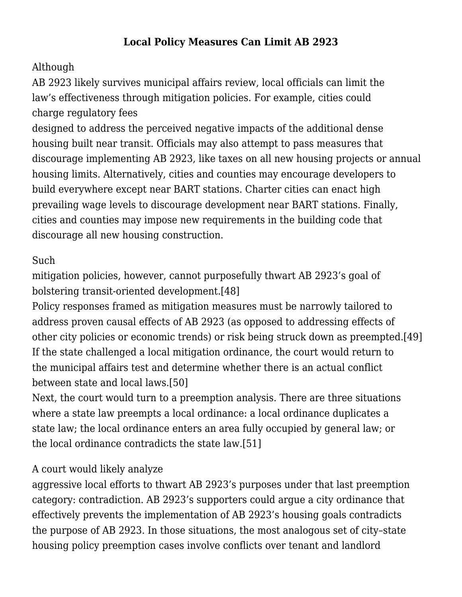### **Local Policy Measures Can Limit AB 2923**

## Although

AB 2923 likely survives municipal affairs review, local officials can limit the law's effectiveness through mitigation policies. For example, cities could charge regulatory fees

designed to address the perceived negative impacts of the additional dense housing built near transit. Officials may also attempt to pass measures that discourage implementing AB 2923, like taxes on all new housing projects or annual housing limits. Alternatively, cities and counties may encourage developers to build everywhere except near BART stations. Charter cities can enact high prevailing wage levels to discourage development near BART stations. Finally, cities and counties may impose new requirements in the building code that discourage all new housing construction.

#### Such

mitigation policies, however, cannot purposefully thwart AB 2923's goal of bolstering transit-oriented development.[\[48\]](#page--1-0)

Policy responses framed as mitigation measures must be narrowly tailored to address proven causal effects of AB 2923 (as opposed to addressing effects of other city policies or economic trends) or risk being struck down as preempted.[\[49\]](#page--1-0) If the state challenged a local mitigation ordinance, the court would return to the municipal affairs test and determine whether there is an actual conflict between state and local laws[.\[50\]](#page--1-0)

Next, the court would turn to a preemption analysis. There are three situations where a state law preempts a local ordinance: a local ordinance duplicates a state law; the local ordinance enters an area fully occupied by general law; or the local ordinance contradicts the state law[.\[51\]](#page--1-0)

#### A court would likely analyze

aggressive local efforts to thwart AB 2923's purposes under that last preemption category: contradiction. AB 2923's supporters could argue a city ordinance that effectively prevents the implementation of AB 2923's housing goals contradicts the purpose of AB 2923. In those situations, the most analogous set of city–state housing policy preemption cases involve conflicts over tenant and landlord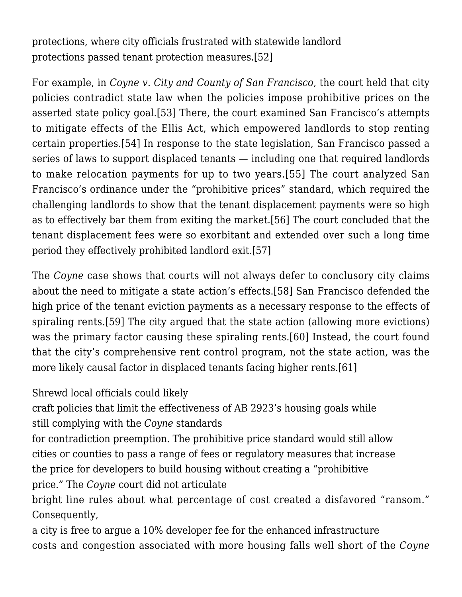protections, where city officials frustrated with statewide landlord protections passed tenant protection measures.[\[52\]](#page--1-0)

For example, in *Coyne v. City and County of San Francisco*, the court held that city policies contradict state law when the policies impose prohibitive prices on the asserted state policy goal*.*[\[53\]](#page--1-0) There, the court examined San Francisco's attempts to mitigate effects of the Ellis Act, which empowered landlords to stop renting certain properties.[\[54\]](#page--1-0) In response to the state legislation, San Francisco passed a series of laws to support displaced tenants — including one that required landlords to make relocation payments for up to two years.[\[55\]](#page--1-0) The court analyzed San Francisco's ordinance under the "prohibitive prices" standard, which required the challenging landlords to show that the tenant displacement payments were so high as to effectively bar them from exiting the market.[\[56\]](#page--1-0) The court concluded that the tenant displacement fees were so exorbitant and extended over such a long time period they effectively prohibited landlord exit[.\[57\]](#page--1-0)

The *Coyne* case shows that courts will not always defer to conclusory city claims about the need to mitigate a state action's effects.[\[58\]](#page--1-0) San Francisco defended the high price of the tenant eviction payments as a necessary response to the effects of spiraling rents.[\[59\]](#page--1-0) The city argued that the state action (allowing more evictions) was the primary factor causing these spiraling rents.[\[60\]](#page--1-0) Instead, the court found that the city's comprehensive rent control program, not the state action, was the more likely causal factor in displaced tenants facing higher rents[.\[61\]](#page--1-0)

Shrewd local officials could likely

craft policies that limit the effectiveness of AB 2923's housing goals while still complying with the *Coyne* standards

for contradiction preemption. The prohibitive price standard would still allow cities or counties to pass a range of fees or regulatory measures that increase the price for developers to build housing without creating a "prohibitive price." The *Coyne* court did not articulate

bright line rules about what percentage of cost created a disfavored "ransom." Consequently,

a city is free to argue a 10% developer fee for the enhanced infrastructure costs and congestion associated with more housing falls well short of the *Coyne*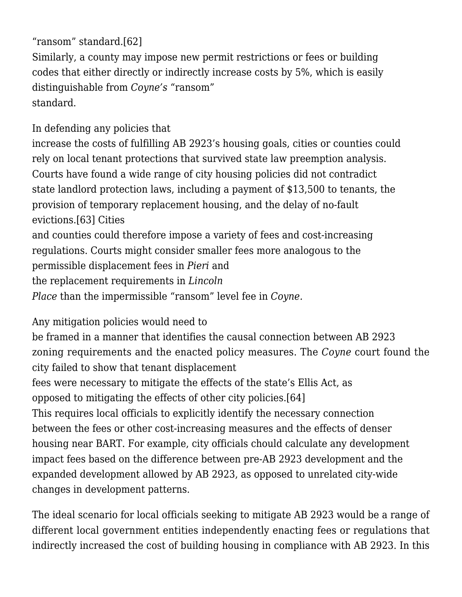"ransom" standard*.*[\[62\]](#page--1-0) Similarly, a county may impose new permit restrictions or fees or building codes that either directly or indirectly increase costs by 5%, which is easily distinguishable from *Coyne's* "ransom" standard.

In defending any policies that

increase the costs of fulfilling AB 2923's housing goals, cities or counties could rely on local tenant protections that survived state law preemption analysis. Courts have found a wide range of city housing policies did not contradict state landlord protection laws, including a payment of \$13,500 to tenants, the provision of temporary replacement housing, and the delay of no-fault evictions[.\[63\]](#page--1-0) Cities

and counties could therefore impose a variety of fees and cost-increasing regulations. Courts might consider smaller fees more analogous to the permissible displacement fees in *Pieri* and the replacement requirements in *Lincoln Place* than the impermissible "ransom" level fee in *Coyne.*

Any mitigation policies would need to

be framed in a manner that identifies the causal connection between AB 2923 zoning requirements and the enacted policy measures. The *Coyne* court found the city failed to show that tenant displacement fees were necessary to mitigate the effects of the state's Ellis Act, as

opposed to mitigating the effects of other city policies.[\[64\]](#page--1-0)

This requires local officials to explicitly identify the necessary connection between the fees or other cost-increasing measures and the effects of denser housing near BART. For example, city officials chould calculate any development impact fees based on the difference between pre-AB 2923 development and the expanded development allowed by AB 2923, as opposed to unrelated city-wide changes in development patterns.

The ideal scenario for local officials seeking to mitigate AB 2923 would be a range of different local government entities independently enacting fees or regulations that indirectly increased the cost of building housing in compliance with AB 2923. In this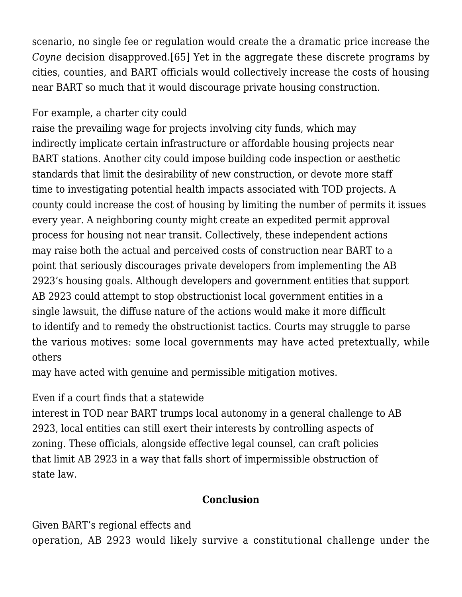scenario, no single fee or regulation would create the a dramatic price increase the *Coyne* decision disapproved.[\[65\]](#page--1-0) Yet in the aggregate these discrete programs by cities, counties, and BART officials would collectively increase the costs of housing near BART so much that it would discourage private housing construction.

## For example, a charter city could

raise the prevailing wage for projects involving city funds, which may indirectly implicate certain infrastructure or affordable housing projects near BART stations. Another city could impose building code inspection or aesthetic standards that limit the desirability of new construction, or devote more staff time to investigating potential health impacts associated with TOD projects. A county could increase the cost of housing by limiting the number of permits it issues every year. A neighboring county might create an expedited permit approval process for housing not near transit. Collectively, these independent actions may raise both the actual and perceived costs of construction near BART to a point that seriously discourages private developers from implementing the AB 2923's housing goals. Although developers and government entities that support AB 2923 could attempt to stop obstructionist local government entities in a single lawsuit, the diffuse nature of the actions would make it more difficult to identify and to remedy the obstructionist tactics. Courts may struggle to parse the various motives: some local governments may have acted pretextually, while others

may have acted with genuine and permissible mitigation motives.

## Even if a court finds that a statewide

interest in TOD near BART trumps local autonomy in a general challenge to AB 2923, local entities can still exert their interests by controlling aspects of zoning. These officials, alongside effective legal counsel, can craft policies that limit AB 2923 in a way that falls short of impermissible obstruction of state law.

## **Conclusion**

Given BART's regional effects and

operation, AB 2923 would likely survive a constitutional challenge under the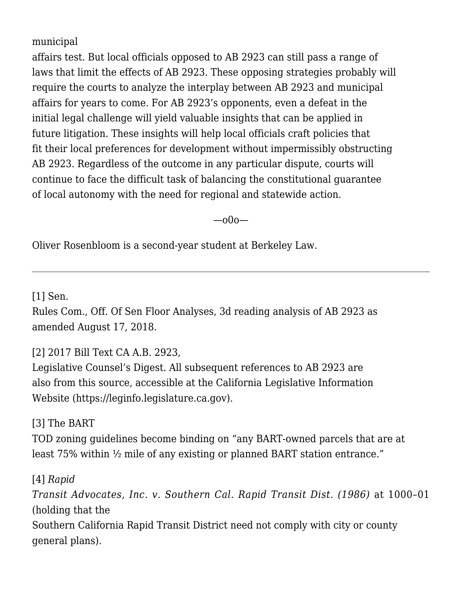municipal

affairs test. But local officials opposed to AB 2923 can still pass a range of laws that limit the effects of AB 2923. These opposing strategies probably will require the courts to analyze the interplay between AB 2923 and municipal affairs for years to come. For AB 2923's opponents, even a defeat in the initial legal challenge will yield valuable insights that can be applied in future litigation. These insights will help local officials craft policies that fit their local preferences for development without impermissibly obstructing AB 2923. Regardless of the outcome in any particular dispute, courts will continue to face the difficult task of balancing the constitutional guarantee of local autonomy with the need for regional and statewide action.

—o0o—

Oliver Rosenbloom is a second-year student at Berkeley Law.

[\[1\]](#page--1-0) [Sen.](https://leginfo.legislature.ca.gov/faces/billAnalysisClient.xhtml?bill_id=201720180AB2923)

[Rules Com., Off. Of Sen Floor Analyses, 3d reading analysis of AB 2923 as](https://leginfo.legislature.ca.gov/faces/billAnalysisClient.xhtml?bill_id=201720180AB2923) [amended August 17, 2018](https://leginfo.legislature.ca.gov/faces/billAnalysisClient.xhtml?bill_id=201720180AB2923).

## [\[2\]](#page--1-0) 2017 Bill Text CA A.B. 2923,

Legislative Counsel's Digest. All subsequent references to AB 2923 are also from this source, accessible at the California Legislative Information Website (https://leginfo.legislature.ca.gov).

[\[3\]](#page--1-0) The BART

TOD zoning guidelines become binding on "any BART-owned parcels that are at least 75% within ½ mile of any existing or planned BART station entrance."

[\[4\]](#page--1-0) *[Rapid](https://scholar.google.com/scholar_case?case=7240780328055759975&q=185+Cal.App.3d+996,+&hl=en&as_sdt=2006) [Transit Advocates, Inc. v. Southern Cal. Rapid Transit Dist. \(1986\)](https://scholar.google.com/scholar_case?case=7240780328055759975&q=185+Cal.App.3d+996,+&hl=en&as_sdt=2006)* at 1000–01 (holding that the Southern California Rapid Transit District need not comply with city or county general plans).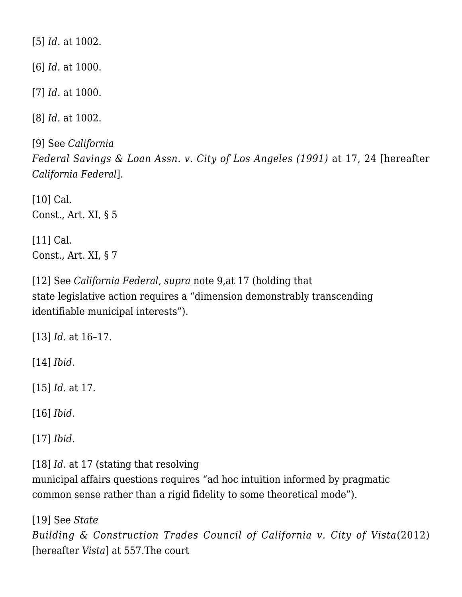[\[5\]](#page--1-0) *Id.* at 1002.

[\[6\]](#page--1-0) *Id.* at 1000.

[\[7\]](#page--1-0) *Id*. at 1000.

[\[8\]](#page--1-0) *Id.* at 1002.

[\[9\]](#page--1-0) See *[California](https://scholar.google.com/scholar_case?case=13398148860947069229&q=54+Cal.3d+1&hl=en&as_sdt=2006) [Federal Savings & Loan Assn. v. City of Los Angeles \(1991\)](https://scholar.google.com/scholar_case?case=13398148860947069229&q=54+Cal.3d+1&hl=en&as_sdt=2006)* at 17, 24 [hereafter *California Federal*].

[\[10\]](#page--1-0) Cal. Const., Art. XI, § 5

[\[11\]](#page--1-0) Cal. Const., Art. XI, § 7

[\[12\]](#page--1-0) See *California Federal*, *supra* note 9,at 17 (holding that state legislative action requires a "dimension demonstrably transcending identifiable municipal interests").

[\[13\]](#page--1-0) *Id.* at 16–17.

[\[14\]](#page--1-0) *Ibid.*

[\[15\]](#page--1-0) *Id.* at 17.

[\[16\]](#page--1-0) *Ibid.*

[\[17\]](#page--1-0) *Ibid.*

[\[18\]](#page--1-0) *Id.* at 17 (stating that resolving

municipal affairs questions requires "ad hoc intuition informed by pragmatic common sense rather than a rigid fidelity to some theoretical mode").

[\[19\]](#page--1-0) See *[State](https://scholar.google.com/scholar_case?case=5285380165536090584&q=54+Cal.4th+547&hl=en&as_sdt=2006) [Building & Construction Trades Council of California v. City of Vista](https://scholar.google.com/scholar_case?case=5285380165536090584&q=54+Cal.4th+547&hl=en&as_sdt=2006)*(2012) [hereafter *Vista*] at 557.The court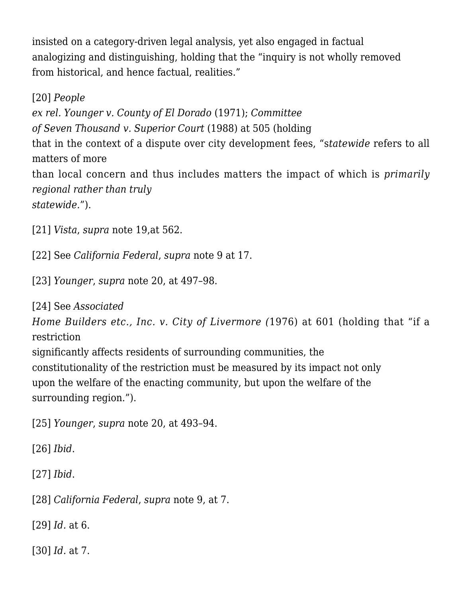insisted on a category-driven legal analysis, yet also engaged in factual analogizing and distinguishing, holding that the "inquiry is not wholly removed from historical, and hence factual, realities."

[\[20\]](#page--1-0) *[People](https://scholar.google.com/scholar_case?case=9628221900162190762&q=5+Cal.3d+480&hl=en&as_sdt=2006) [ex rel. Younger v. County of El Dorado](https://scholar.google.com/scholar_case?case=9628221900162190762&q=5+Cal.3d+480&hl=en&as_sdt=2006)* (1971); *[Committee](https://scholar.google.com/scholar_case?case=17378612935224796638&q=45+Cal.3d+491&hl=en&as_sdt=2006) [of Seven Thousand v. Superior Court](https://scholar.google.com/scholar_case?case=17378612935224796638&q=45+Cal.3d+491&hl=en&as_sdt=2006)* (1988) at 505 (holding that in the context of a dispute over city development fees, "s*tatewide* refers to all matters of more than local concern and thus includes matters the impact of which is *primarily regional rather than truly statewide.*").

[\[21\]](#page--1-0) *Vista*, *supra* note 19,at 562.

[\[22\]](#page--1-0) See *California Federal*, *supra* note 9 at 17.

[\[23\]](#page--1-0) *Younger*, *supra* note 20, at 497–98.

[\[24\]](#page--1-0) See *[Associated](https://scholar.google.com/scholar_case?case=15479987272763509129&q=18+Cal.3d+582+&hl=en&as_sdt=2006)*

*[Home Builders etc., Inc. v. City of Livermore \(](https://scholar.google.com/scholar_case?case=15479987272763509129&q=18+Cal.3d+582+&hl=en&as_sdt=2006)*1976) at 601 (holding that "if a restriction

significantly affects residents of surrounding communities, the constitutionality of the restriction must be measured by its impact not only upon the welfare of the enacting community, but upon the welfare of the surrounding region.").

[\[25\]](#page--1-0) *Younger*, *supra* note 20, at 493–94.

[\[26\]](#page--1-0) *Ibid*.

[\[27\]](#page--1-0) *Ibid*.

[\[28\]](#page--1-0) *California Federal*, *supra* note 9, at 7.

[\[29\]](#page--1-0) *Id.* at 6.

[\[30\]](#page--1-0) *Id.* at 7.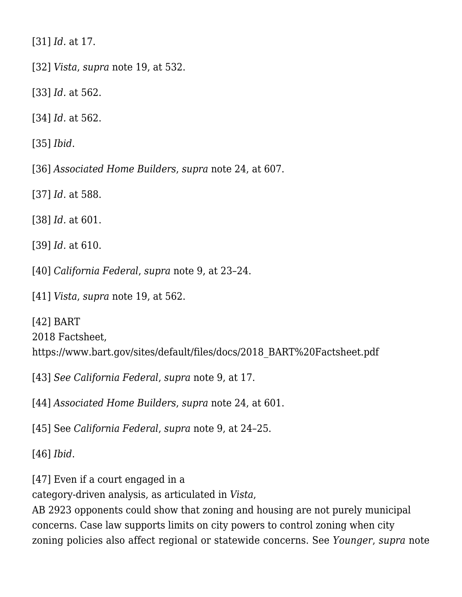[\[31\]](#page--1-0) *Id.* at 17.

[\[32\]](#page--1-0) *Vista*, *supra* note 19, at 532.

[\[33\]](#page--1-0) *Id.* at 562.

[\[34\]](#page--1-0) *Id.* at 562.

[\[35\]](#page--1-0) *Ibid*.

[\[36\]](#page--1-0) *Associated Home Builders*, *supra* note 24, at 607.

[\[37\]](#page--1-0) *Id.* at 588.

[\[38\]](#page--1-0) *Id.* at 601.

[\[39\]](#page--1-0) *Id.* at 610.

[\[40\]](#page--1-0) *California Federal*, *supra* note 9, at 23–24.

[\[41\]](#page--1-0) *Vista*, *supra* note 19, at 562.

[\[42\]](#page--1-0) BART 2018 Factsheet, https://www.bart.gov/sites/default/files/docs/2018\_BART%20Factsheet.pdf

[\[43\]](#page--1-0) *See California Federal*, *supra* note 9, at 17.

[\[44\]](#page--1-0) *Associated Home Builders*, *supra* note 24, at 601.

[\[45\]](#page--1-0) See *California Federal*, *supra* note 9, at 24–25.

[\[46\]](#page--1-0) *Ibid*.

[\[47\]](#page--1-0) Even if a court engaged in a

category-driven analysis, as articulated in *Vista*,

AB 2923 opponents could show that zoning and housing are not purely municipal concerns. Case law supports limits on city powers to control zoning when city zoning policies also affect regional or statewide concerns. See *Younger*, *supra* note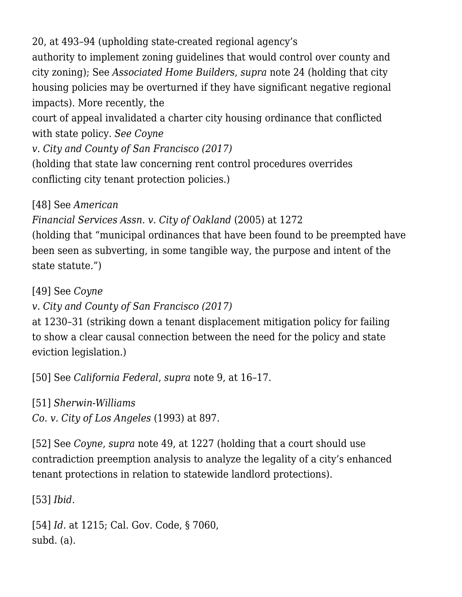20, at 493–94 (upholding state-created regional agency's authority to implement zoning guidelines that would control over county and city zoning); See *Associated Home Builders*, *supra* note 24 (holding that city housing policies may be overturned if they have significant negative regional impacts). More recently, the court of appeal invalidated a charter city housing ordinance that conflicted with state policy. *See [Coyne](https://scholar.google.com/scholar_case?case=17240540585482041421&q=9.+Cal.App.5th+1215+&hl=en&as_sdt=2006) [v. City and County of San Francisco \(2017\)](https://scholar.google.com/scholar_case?case=17240540585482041421&q=9.+Cal.App.5th+1215+&hl=en&as_sdt=2006)*

(holding that state law concerning rent control procedures overrides conflicting city tenant protection policies.)

[\[48\]](#page--1-0) See *[American](https://scholar.google.com/scholar_case?case=2189139259259531793&q=34+Cal.4th+1239&hl=en&as_sdt=2006)*

*[Financial Services Assn. v. City of Oakland](https://scholar.google.com/scholar_case?case=2189139259259531793&q=34+Cal.4th+1239&hl=en&as_sdt=2006)* (2005) at 1272

(holding that "municipal ordinances that have been found to be preempted have been seen as subverting, in some tangible way, the purpose and intent of the state statute.")

[\[49\]](#page--1-0) See *[Coyne](https://scholar.google.com/scholar_case?case=17240540585482041421&q=9.+Cal.App.5th+1215+&hl=en&as_sdt=2006)*

*[v. City and County of San Francisco \(2017\)](https://scholar.google.com/scholar_case?case=17240540585482041421&q=9.+Cal.App.5th+1215+&hl=en&as_sdt=2006)*

at 1230–31 (striking down a tenant displacement mitigation policy for failing to show a clear causal connection between the need for the policy and state eviction legislation.)

[\[50\]](#page--1-0) See *California Federal*, *supra* note 9, at 16–17.

[\[51\]](#page--1-0) *[Sherwin-Williams](https://scholar.google.com/scholar_case?case=12922964093740094998&q=4+Cal.4th+893&hl=en&as_sdt=2006)*

*[Co. v. City of Los Angeles](https://scholar.google.com/scholar_case?case=12922964093740094998&q=4+Cal.4th+893&hl=en&as_sdt=2006)* (1993) at 897.

[\[52\]](#page--1-0) See *Coyne*, *supra* note 49, at 1227 (holding that a court should use contradiction preemption analysis to analyze the legality of a city's enhanced tenant protections in relation to statewide landlord protections).

[\[53\]](#page--1-0) *Ibid.*

[\[54\]](#page--1-0) *Id.* at 1215; Cal. Gov. Code, § 7060, subd. (a).